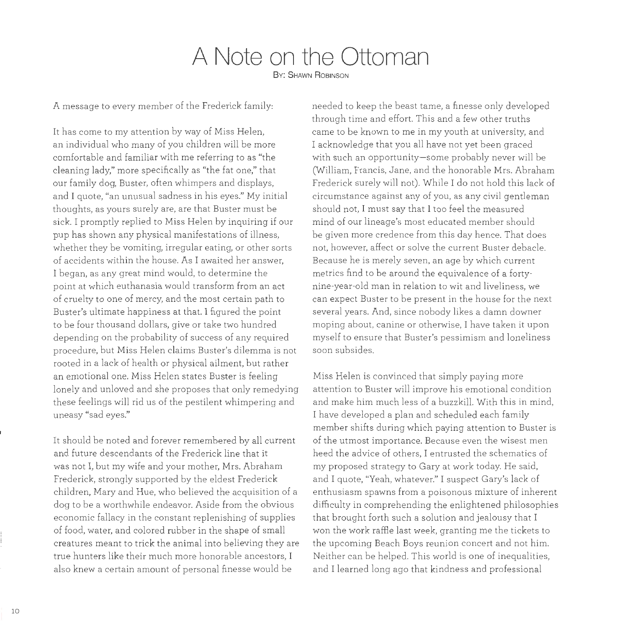## **A Note on the Ottoman By: SHAWN ROBINSON**

A message to every member of the Frederick family:

It has come to my attention by way of Miss Helen, an individual who many of you children will be more comfortable and familiar with me referring to as "the cleaning lady," more specifically as "the fat one," that our family dog, Buster, often whimpers and displays, and I quote, "an unusual sadness in his eyes." My initial thoughts, as yours surely are, are that Buster must be sick. I promptly replied to Miss Helen by inquiring if our pup has shown any physical manifestations of illness, whether they be vomiting, irregular eating, or other sorts of accidents within the house. As I awaited her answer, I began, as any great mind would, to determine the point at which euthanasia would transform from an act of cruelty to one of mercy, and the most certain path to Buster's ultimate happiness at that. I figured the point to be four thousand dollars, give or take two hundred depending on the probability of success of any required procedure, but Miss Helen claims Buster's dilemma is not rooted in a lack of health or physical ailment, but rather an emotional one. Miss Helen states Buster is feeling lonely and unloved and she proposes that only remedying these feelings will rid us of the pestilent whimpering and uneasy "sad eyes."

It should be noted and forever remembered by all current and future descendants of the Frederick line that it was not I, but my wife and your mother, Mrs. Abraham Frederick, strongly supported by the eldest Frederick children, Mary and Hue, who believed the acquisition of a dog to be a worthwhile endeavor. Aside from the obvious economic fallacy in the constant replenishing of supplies of food, water, and colored rubber in the shape of small creatures meant to trick the animal into believing they are true hunters like their much more honorable ancestors, I also knew a certain amount of personal finesse would be

needed to keep the beast tame, a finesse only developed through time and effort. This and a few other truths came to be known to me in my youth at university, and I acknowledge that you all have not yet been graced with such an opportunity-some probably never will be (William, Francis, Jane, and the honorable Mrs. Abraham Frederick surely will not). While I do not hold this lack of circumstance against any of you, as any civil gentleman should not, I must say that I too feel the measured mind of our lineage's most educated member should be given more credence from this day hence. That does not, however, affect or solve the current Buster debacle. Because he is merely seven, an age by which current metrics find to be around the equivalence of a fortynine-year-old man in relation to wit and liveliness, we can expect Buster to be present in the house for the next several years. And, since nobody likes a damn downer moping about, canine or otherwise, I have taken it upon myself to ensure that Buster's pessimism and loneliness soon subsides.

Miss Helen is convinced that simply paying more attention to Buster will improve his emotional condition and make him much less of a buzzkill. With this in mind, I have developed a plan and scheduled each family member shifts during which paying attention to Buster is of the utmost importance. Because even the wisest men heed the advice of others, I entrusted the schematics of my proposed strategy to Gary at work today. He said, and I quote, "Yeah, whatever." I suspect Gary's lack of enthusiasm spawns from a poisonous mixture of inherent difficulty in comprehending the enlightened philosophies that brought forth such a solution and jealousy that I won the work raffle last week, granting me the tickets to the upcoming Beach Boys reunion concert and not him. Neither can be helped. This world is one of inequalities, and I learned long ago that kindness and professional

10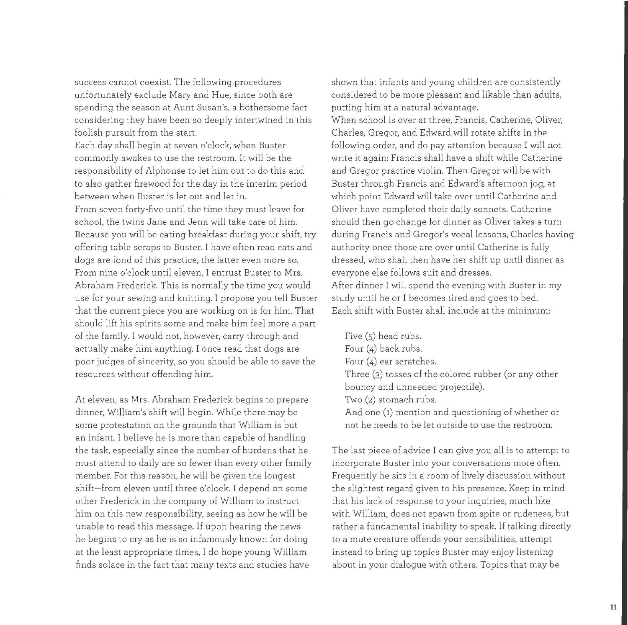success cannot coexist. The following procedures unfortunately exclude Mary and Hue, since both are spending the season at Aunt Susan's, a bothersome fact considering they have been so deeply intertwined in this foolish pursuit from the start.

Each day shall begin at seven o'clock, when Buster commonly awakes to use the restroom. It will be the responsibility of Alphonse to let him out to do this and to also gather firewood for the day in the interim period between when Buster is let out and let in. From seven forty-five until the time they must leave for school, the twins Jane and Jenn will take care of him. Because you will be eating breakfast during your shift, try offering table scraps to Buster. I have often read cats and dogs are fond of this practice, the latter even more so. From nine o'clock until eleven, I entrust Buster to Mrs. Abraham Frederick. This is normally the time you would use for your sewing and knitting. I propose you tell Buster that the current piece you are working on is for him. That should lift his spirits some and make him feel more a part of the family. I would not, however, carry through and actually make him anything. I once read that dogs are poor judges of sincerity, so you should be able to save the resources without offending him.

At eleven, as Mrs. Abraham Frederick begins to prepare dinner, William's shift will begin. While there may be some protestation on the grounds that William is but an infant, I believe he is more than capable of handling the task, especially since the number of burdens that he must attend to daily are so fewer than every other family member. For this reason, he will be given the longest shift-from eleven until three o'clock. I depend on some other Frederick in the company of William to instruct him on this new responsibility, seeing as how he will be unable to read this message. If upon hearing the news he begins to cry as he is so infamously known for doing at the least appropriate times, I do hope young William finds solace in the fact that many texts and studies have

shown that infants and young children are consistently considered to be more pleasant and likable than adults, putting him at a natural advantage.

When school is over at three, Francis, Catherine, Oliver, Charles, Gregor, and Edward will rotate shifts in the following order, and do pay attention because I will not write it again: Francis shall have a shift while Catherine and Gregor practice violin. Then Gregor will be with Buster through Francis and Edward's afternoon jog, at which point Edward will take over until Catherine and Oliver have completed their daily sonnets. Catherine should then go change for dinner as Oliver takes a turn during Francis and Gregor's vocal lessons, Charles having authority once those are over until Catherine is fully dressed, who shall then have her shift up until dinner as everyone else follows suit and dresses. After dinner I will spend the evening with Buster in my study until he or I becomes tired and goes to bed. Each shift with Buster shall include at the minimum:

Five (5) head rubs. Four (4) back rubs. Four (4) ear scratches. Three (3) tosses of the colored rubber (or any other bouncy and unneeded projectile). Two (2) stomach rubs. And one (1) mention and questioning of whether or not he needs to be let outside to use the restroom.

The last piece of advice I can give you all is to attempt to incorporate Buster into your conversations more often. Frequently he sits in a room of lively discussion without the slightest regard given to his presence. Keep in mind that his lack of response to your inquiries, much like with William, does not spawn from spite or rudeness, but rather a fundamental inability to speak. If talking directly to a mute creature offends your sensibilities, attempt instead to bring up topics Buster may enjoy listening about in your dialogue with others. Topics that may be